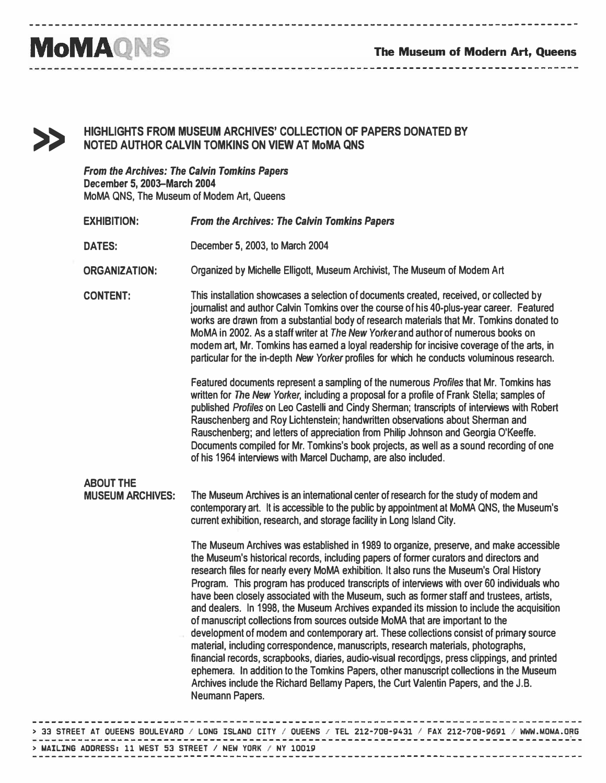------------------

------------------------------------------------------------------------------------

## **MoMAQNS**

>>

## HIGHLIGHTS FROM MUSEUM ARCHIVES' COLLECTION OF PAPERS DONATED BY NOTED AUTHOR CALVIN TOMKINS ON VIEW AT MoMA QNS

----------------------------------

From the Archives: The Calvin Tomkins Papers December 5, 2003-March 2004 MoMA QNS, The Museum of Modem Art, Queens

|  | <b>EXHIBITION:</b>                          | <b>From the Archives: The Calvin Tomkins Papers</b>                                                                                                                                                                                                                                                                                                                                                                                                                                                                                                                                                                                                                                                                                                                                                                                                                                                                                                                                                                                                                                                                                      |
|--|---------------------------------------------|------------------------------------------------------------------------------------------------------------------------------------------------------------------------------------------------------------------------------------------------------------------------------------------------------------------------------------------------------------------------------------------------------------------------------------------------------------------------------------------------------------------------------------------------------------------------------------------------------------------------------------------------------------------------------------------------------------------------------------------------------------------------------------------------------------------------------------------------------------------------------------------------------------------------------------------------------------------------------------------------------------------------------------------------------------------------------------------------------------------------------------------|
|  | <b>DATES:</b>                               | December 5, 2003, to March 2004                                                                                                                                                                                                                                                                                                                                                                                                                                                                                                                                                                                                                                                                                                                                                                                                                                                                                                                                                                                                                                                                                                          |
|  | <b>ORGANIZATION:</b>                        | Organized by Michelle Elligott, Museum Archivist, The Museum of Modem Art                                                                                                                                                                                                                                                                                                                                                                                                                                                                                                                                                                                                                                                                                                                                                                                                                                                                                                                                                                                                                                                                |
|  | <b>CONTENT:</b>                             | This installation showcases a selection of documents created, received, or collected by<br>journalist and author Calvin Tomkins over the course of his 40-plus-year career. Featured<br>works are drawn from a substantial body of research materials that Mr. Tomkins donated to<br>MoMA in 2002. As a staff writer at The New Yorker and author of numerous books on<br>modem art, Mr. Tomkins has earned a loyal readership for incisive coverage of the arts, in<br>particular for the in-depth New Yorker profiles for which he conducts voluminous research.                                                                                                                                                                                                                                                                                                                                                                                                                                                                                                                                                                       |
|  |                                             | Featured documents represent a sampling of the numerous Profiles that Mr. Tomkins has<br>written for The New Yorker, including a proposal for a profile of Frank Stella; samples of<br>published Profiles on Leo Castelli and Cindy Sherman; transcripts of interviews with Robert<br>Rauschenberg and Roy Lichtenstein; handwritten observations about Sherman and<br>Rauschenberg; and letters of appreciation from Philip Johnson and Georgia O'Keeffe.<br>Documents compiled for Mr. Tomkins's book projects, as well as a sound recording of one<br>of his 1964 interviews with Marcel Duchamp, are also included.                                                                                                                                                                                                                                                                                                                                                                                                                                                                                                                  |
|  | <b>ABOUT THE</b><br><b>MUSEUM ARCHIVES:</b> | The Museum Archives is an international center of research for the study of modem and<br>contemporary art. It is accessible to the public by appointment at MoMA QNS, the Museum's<br>current exhibition, research, and storage facility in Long Island City.                                                                                                                                                                                                                                                                                                                                                                                                                                                                                                                                                                                                                                                                                                                                                                                                                                                                            |
|  |                                             | The Museum Archives was established in 1989 to organize, preserve, and make accessible<br>the Museum's historical records, including papers of former curators and directors and<br>research files for nearly every MoMA exhibition. It also runs the Museum's Oral History<br>Program. This program has produced transcripts of interviews with over 60 individuals who<br>have been closely associated with the Museum, such as former staff and trustees, artists,<br>and dealers. In 1998, the Museum Archives expanded its mission to include the acquisition<br>of manuscript collections from sources outside MoMA that are important to the<br>development of modem and contemporary art. These collections consist of primary source<br>material, including correspondence, manuscripts, research materials, photographs,<br>financial records, scrapbooks, diaries, audio-visual recordings, press clippings, and printed<br>ephemera. In addition to the Tomkins Papers, other manuscript collections in the Museum<br>Archives include the Richard Bellamy Papers, the Curt Valentin Papers, and the J.B.<br>Neumann Papers. |
|  |                                             |                                                                                                                                                                                                                                                                                                                                                                                                                                                                                                                                                                                                                                                                                                                                                                                                                                                                                                                                                                                                                                                                                                                                          |

|                                                                   |  | > 33 STREET AT OUEENS BOULEVARD / LONG ISLAND CITY / OUEENS / TEL 212-708-9431 / FAX 212-708-9691 / WWW.MOMA.ORG |  |
|-------------------------------------------------------------------|--|------------------------------------------------------------------------------------------------------------------|--|
| $>$ MAILING ADDRESS: 11 WEST 53 STREET / NEW YORK $\neq$ NY 10019 |  |                                                                                                                  |  |
|                                                                   |  |                                                                                                                  |  |